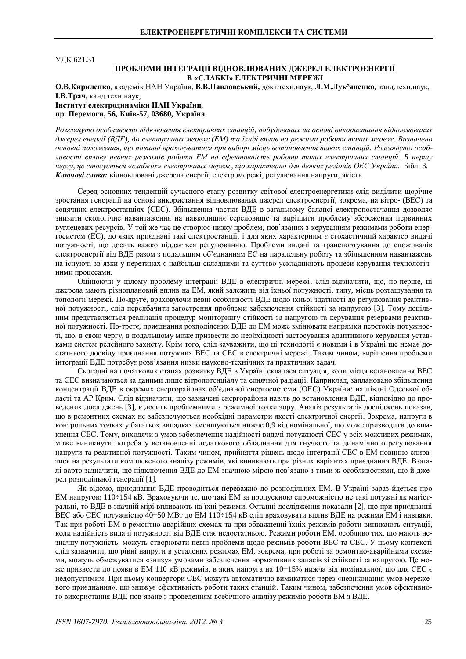**УЛК 621.31** 

## ПРОБЛЕМИ ІНТЕГРАЦІЇ ВІДНОВЛЮВАНИХ ДЖЕРЕЛ ЕЛЕКТРОЕНЕРГІЇ В «СЛАБКІ» ЕЛЕКТРИЧНІ МЕРЕЖІ

О.В. Кириленко, академік НАН України, В.В. Павловський, докт. техн. наук, Л.М. Лук'яненко, канд. техн. наук, **І.В.Трач**, канд.техн.наук,  **Інститут електродинаміки НАН України,** 

 $\Pi$ **p.** Перемоги, 56, Київ-57, 03680, Україна.

Розглянуто особливості підключення електричних станцій, побудованих на основі використання відновлюваних джерел енергії (ВДЕ), до електричних мереж (ЕМ) та їхній вплив на режими роботи таких мереж. Визначено  $o$ сновні положення, що повинні враховуватися при виборі місць встановлення таких станцій. Розглянуто особливості впливу певних режимів роботи ЕМ на ефективність роботи таких електричних станцій. В першу чергу, це стосується «слабких» електричних мереж, що характерно для деяких регіонів ОЕС України. Бібл. 3. Ключові слова: відновлювані джерела енергії, електромережі, регулювання напруги, якість.

Серел основних тенлений сучасного етапу розвитку світової електроенергетики сліл вилілити шорічне зростання генерації на основі використання відновлюваних джерел електроенергії, зокрема, на вітро- (ВЕС) та сонячних електростанціях (СЕС). Збільшення частки ВДЕ в загальному балансі електропостачання дозволяє знизити екологічне навантаження на навколишнє середовище та вирішити проблему збереження первинних вуглецевих ресурсів. У той же час це створює низку проблем, пов'язаних з керуванням режимами роботи енергосистем (ЕС), до яких приєднані такі електростанції, і для яких характерним є стохастичний характер видачі потужності, що досить важко піддається регулюванню. Проблеми видачі та транспортування до споживачів електроенергії від ВДЕ разом з подальшим об'єднанням ЕС на паралельну роботу та збільшенням навантажень на існуючі зв'язки у перетинах є найбільш складними та суттєво ускладнюють процеси керування технологічними процесами.

Оцінюючи у цілому проблему інтеграції ВДЕ в електричні мережі, слід відзначити, що, по-перше, ці джерела мають різноплановий вплив на ЕМ, який залежить від їхньої потужності, типу, місць розташування та топології мережі. По-друге, враховуючи певні особливості ВДЕ щодо їхньої здатності до регулювання реактивної потужності, слід передбачити загострення проблеми забезпечення стійкості за напругою [3]. Тому доцільним представляється реалізація процедур моніторингу стійкості за напругою та керування резервами реактивної потужності. По-третє, приєднання розподілених ВДЕ до ЕМ може змінювати напрямки перетоків потужності, що, в свою чергу, в подальшому може призвести до необхідності застосування адаптивного керування уставками систем релейного захисту. Крім того, слід зауважити, що ці технології є новими і в Україні ще немає достатнього досвіду приєднання потужних ВЕС та СЕС в електричні мережі. Таким чином, вирішення проблеми інтеграції ВДЕ потребує розв'язання низки науково-технічних та практичних задач.

Сьогодні на початкових етапах розвитку ВДЕ в Україні склалася ситуація, коли місця встановлення ВЕС та СЕС визначаються за даними лише вітропотенціалу та сонячної радіації. Наприклад, заплановано збільшення концентрації ВДЕ в окремих енергорайонах об'єднаної енергосистеми (ОЕС) України: на півдні Одеської області та АР Крим. Слід відзначити, що зазначені енергорайони навіть до встановлення ВДЕ, відповідно до проведених досліджень [3], є досить проблемними з режимної точки зору. Аналіз результатів досліджень показав, що в ремонтних схемах не забезпечуються необхідні параметри якості електричної енергії. Зокрема, напруги в контрольних точках у багатьох випадках зменшуються нижче 0,9 від номінальної, що може призводити до вимкнення СЕС. Тому, виходячи з умов забезпечення надійності видачі потужності СЕС у всіх можливих режимах, може виникнути потреба у встановленні додаткового обладнання для гнучкого та динамічного регулювання напруги та реактивної потужності. Таким чином, прийняття рішень щодо інтеграції СЕС в ЕМ повинно спиратися на результати комплексного аналізу режимів, які виникають при різних варіантах приєлнання ВЛЕ. Взагалі варто зазначити, що підключення ВДЕ до ЕМ значною мірою пов'язано з тими ж особливостями, що й джерел розподільної генерації [1].

Як віломо, приєлнання ВЛЕ проволиться переважно ло розполільних ЕМ. В Україні зараз йлеться про EM напругою 110÷154 кВ. Враховуючи те, що такі EM за пропускною спроможністю не такі потужні як магістральні, то ВДЕ в значній мірі впливають на їхні режими. Останні дослідження показали [2], що при приєднанні BEC або СЕС потужністю 40÷50 МВт до ЕМ 110÷154 кВ слід враховувати вплив ВДЕ на режими ЕМ і навпаки. Так при роботі ЕМ в ремонтно-аварійних схемах та при обважненні їхніх режимів роботи виникають ситуації, коли надійність видачі потужності від ВДЕ стає недостатньою. Режими роботи ЕМ, особливо тих, що мають незначну потужність, можуть створювати певні проблеми щодо режимів роботи ВЕС та СЕС. У цьому контексті слід зазначити, що рівні напруги в усталених режимах ЕМ, зокрема, при роботі за ремонтно-аварійними схемами, можуть обмежуватися «знизу» умовами забезпечення нормативних запасів зі стійкості за напругою. Це може призвести до появи в ЕМ 110 кВ режимів, в яких напруга на 10-15% нижча від номінальної, що для СЕС є недопустимим. При цьому конвертори СЕС можуть автоматично вимикатися через «невиконання умов мережевого приєднання», що знижує ефективність роботи таких станцій. Таким чином, забезпечення умов ефективного використання ВДЕ пов'язане з проведенням всебічного аналізу режимів роботи ЕМ з ВДЕ.